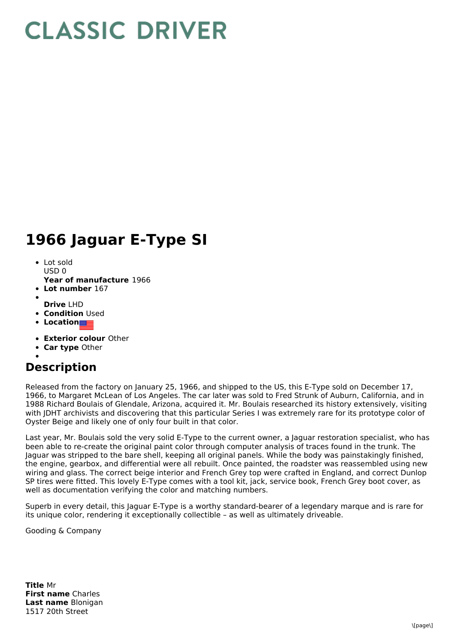## **CLASSIC DRIVER**

## **1966 Jaguar E-Type SI**

- Lot sold  $USD0$
- **Year of manufacture** 1966
- **Lot number** 167
- **Drive** LHD
- **Condition Used**
- **Location**
- **Exterior colour** Other
- **Car type** Other
- 

## **Description**

Released from the factory on January 25, 1966, and shipped to the US, this E-Type sold on December 17, 1966, to Margaret McLean of Los Angeles. The car later was sold to Fred Strunk of Auburn, California, and in 1988 Richard Boulais of Glendale, Arizona, acquired it. Mr. Boulais researched its history extensively, visiting with JDHT archivists and discovering that this particular Series I was extremely rare for its prototype color of Oyster Beige and likely one of only four built in that color.

Last year, Mr. Boulais sold the very solid E-Type to the current owner, a Jaguar restoration specialist, who has been able to re-create the original paint color through computer analysis of traces found in the trunk. The Jaguar was stripped to the bare shell, keeping all original panels. While the body was painstakingly finished, the engine, gearbox, and differential were all rebuilt. Once painted, the roadster was reassembled using new wiring and glass. The correct beige interior and French Grey top were crafted in England, and correct Dunlop SP tires were fitted. This lovely E-Type comes with a tool kit, jack, service book, French Grey boot cover, as well as documentation verifying the color and matching numbers.

Superb in every detail, this Jaguar E-Type is a worthy standard-bearer of a legendary marque and is rare for its unique color, rendering it exceptionally collectible – as well as ultimately driveable.

Gooding & Company

**Title** Mr **First name** Charles **Last name** Blonigan 1517 20th Street